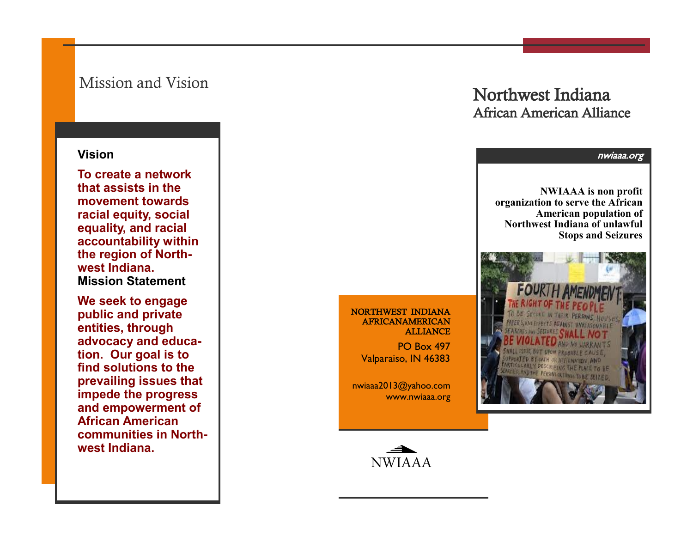### Mission and Vision

#### **Vision**

**To create a network that assists in the movement towards racial equity, social equality, and racial accountability within the region of Northwest Indiana. Mission Statement**

**We seek to engage public and private entities, through advocacy and education. Our goal is to find solutions to the prevailing issues that impede the progress and empowerment of African American communities in Northwest Indiana.**

## Northwest Indiana African American Alliance



#### NORTHWEST INDIANA AFRICANAMERICAN ALLIANCE

PO Box 497 Valparaiso, IN 46383

nwiaaa2013@yahoo.com www.nwiaaa.org